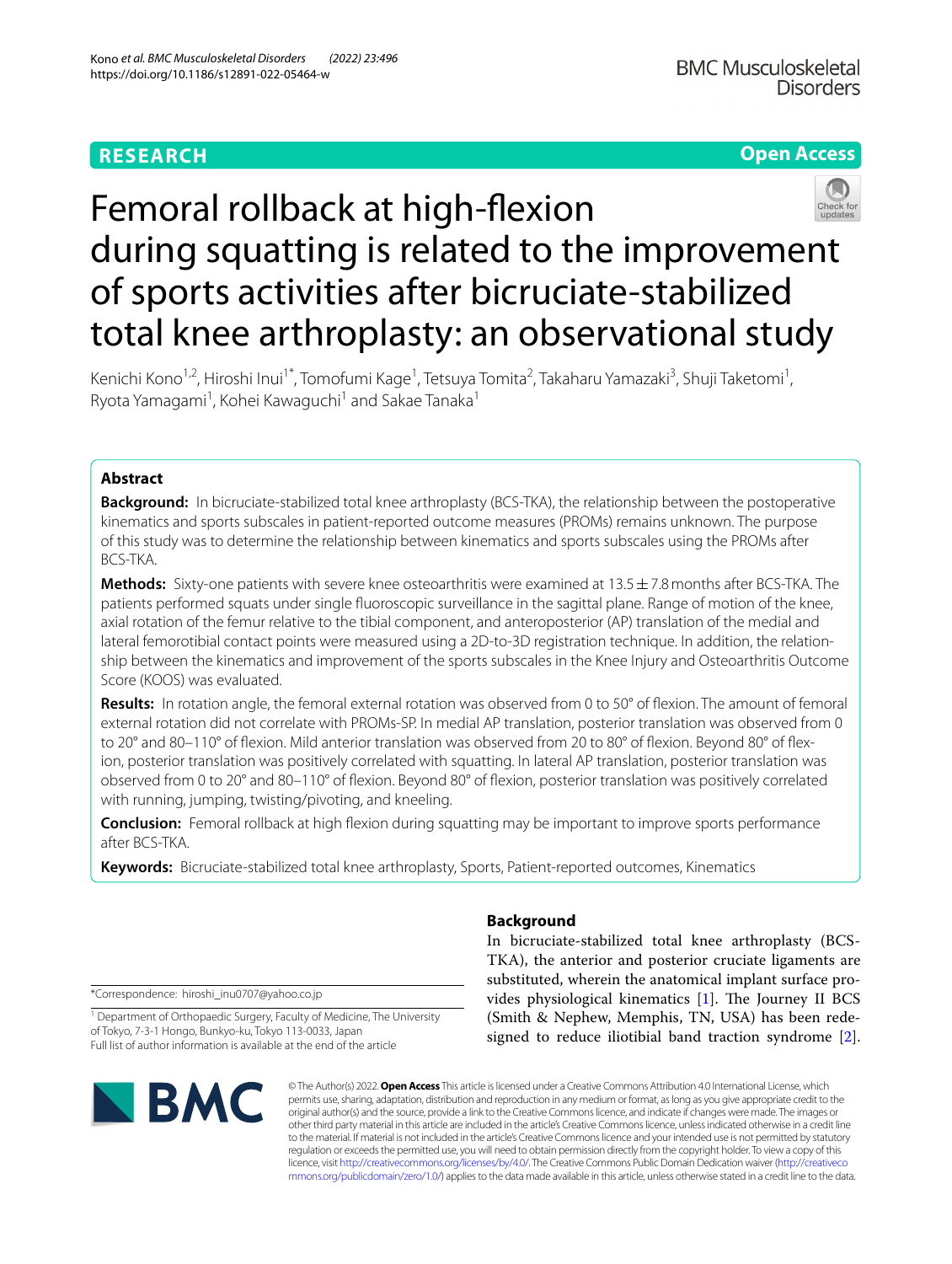# **RESEARCH**

# **Open Access**



# Femoral rollback at high-fexion during squatting is related to the improvement of sports activities after bicruciate-stabilized total knee arthroplasty: an observational study

Kenichi Kono<sup>1,2</sup>, Hiroshi Inui<sup>1\*</sup>, Tomofumi Kage<sup>1</sup>, Tetsuya Tomita<sup>2</sup>, Takaharu Yamazaki<sup>3</sup>, Shuji Taketomi<sup>1</sup>, Ryota Yamagami<sup>1</sup>, Kohei Kawaguchi<sup>1</sup> and Sakae Tanaka<sup>1</sup>

## **Abstract**

**Background:** In bicruciate-stabilized total knee arthroplasty (BCS-TKA), the relationship between the postoperative kinematics and sports subscales in patient-reported outcome measures (PROMs) remains unknown. The purpose of this study was to determine the relationship between kinematics and sports subscales using the PROMs after BCS-TKA.

**Methods:** Sixty-one patients with severe knee osteoarthritis were examined at 13.5±7.8months after BCS-TKA. The patients performed squats under single fuoroscopic surveillance in the sagittal plane. Range of motion of the knee, axial rotation of the femur relative to the tibial component, and anteroposterior (AP) translation of the medial and lateral femorotibial contact points were measured using a 2D-to-3D registration technique. In addition, the relationship between the kinematics and improvement of the sports subscales in the Knee Injury and Osteoarthritis Outcome Score (KOOS) was evaluated.

**Results:** In rotation angle, the femoral external rotation was observed from 0 to 50° of flexion. The amount of femoral external rotation did not correlate with PROMs-SP. In medial AP translation, posterior translation was observed from 0 to 20° and 80–110° of flexion. Mild anterior translation was observed from 20 to 80° of flexion. Beyond 80° of flexion, posterior translation was positively correlated with squatting. In lateral AP translation, posterior translation was observed from 0 to 20° and 80–110° of fexion. Beyond 80° of fexion, posterior translation was positively correlated with running, jumping, twisting/pivoting, and kneeling.

**Conclusion:** Femoral rollback at high fexion during squatting may be important to improve sports performance after BCS-TKA.

**Keywords:** Bicruciate-stabilized total knee arthroplasty, Sports, Patient-reported outcomes, Kinematics

\*Correspondence: hiroshi\_inu0707@yahoo.co.jp

<sup>1</sup> Department of Orthopaedic Surgery, Faculty of Medicine, The University of Tokyo, 7-3-1 Hongo, Bunkyo-ku, Tokyo 113-0033, Japan Full list of author information is available at the end of the article



## **Background**

In bicruciate-stabilized total knee arthroplasty (BCS-TKA), the anterior and posterior cruciate ligaments are substituted, wherein the anatomical implant surface provides physiological kinematics  $[1]$  $[1]$ . The Journey II BCS (Smith & Nephew, Memphis, TN, USA) has been redesigned to reduce iliotibial band traction syndrome [\[2](#page-5-1)].

© The Author(s) 2022. **Open Access** This article is licensed under a Creative Commons Attribution 4.0 International License, which permits use, sharing, adaptation, distribution and reproduction in any medium or format, as long as you give appropriate credit to the original author(s) and the source, provide a link to the Creative Commons licence, and indicate if changes were made. The images or other third party material in this article are included in the article's Creative Commons licence, unless indicated otherwise in a credit line to the material. If material is not included in the article's Creative Commons licence and your intended use is not permitted by statutory regulation or exceeds the permitted use, you will need to obtain permission directly from the copyright holder. To view a copy of this licence, visit [http://creativecommons.org/licenses/by/4.0/.](http://creativecommons.org/licenses/by/4.0/) The Creative Commons Public Domain Dedication waiver ([http://creativeco](http://creativecommons.org/publicdomain/zero/1.0/) [mmons.org/publicdomain/zero/1.0/](http://creativecommons.org/publicdomain/zero/1.0/)) applies to the data made available in this article, unless otherwise stated in a credit line to the data.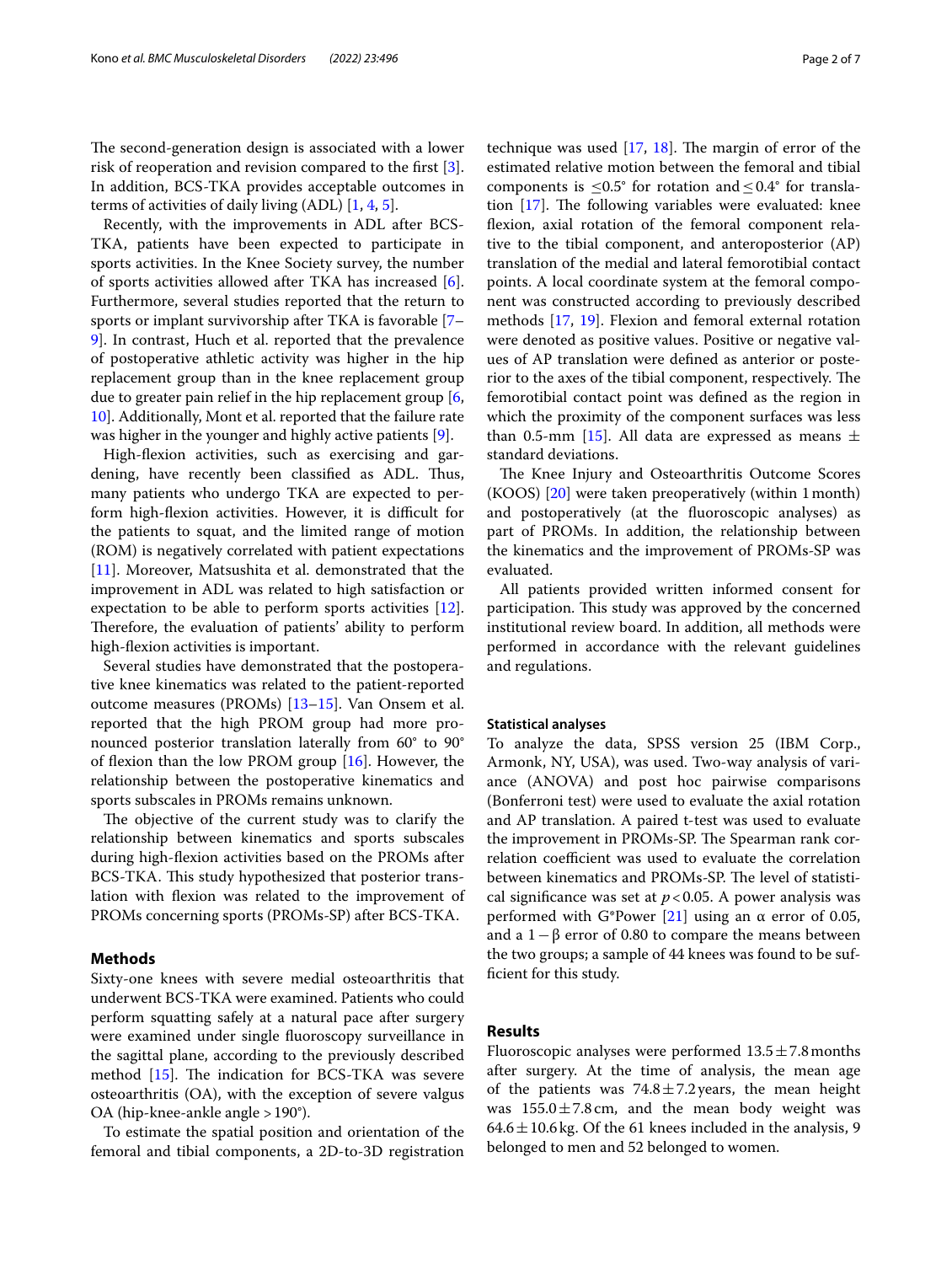The second-generation design is associated with a lower risk of reoperation and revision compared to the frst [\[3](#page-5-2)]. In addition, BCS-TKA provides acceptable outcomes in terms of activities of daily living (ADL) [\[1](#page-5-0), [4,](#page-5-3) [5](#page-5-4)].

Recently, with the improvements in ADL after BCS-TKA, patients have been expected to participate in sports activities. In the Knee Society survey, the number of sports activities allowed after TKA has increased [\[6](#page-5-5)]. Furthermore, several studies reported that the return to sports or implant survivorship after TKA is favorable [[7–](#page-5-6) [9\]](#page-5-7). In contrast, Huch et al. reported that the prevalence of postoperative athletic activity was higher in the hip replacement group than in the knee replacement group due to greater pain relief in the hip replacement group [\[6](#page-5-5), [10\]](#page-5-8). Additionally, Mont et al. reported that the failure rate was higher in the younger and highly active patients [[9\]](#page-5-7).

High-fexion activities, such as exercising and gardening, have recently been classified as ADL. Thus, many patients who undergo TKA are expected to perform high-flexion activities. However, it is difficult for the patients to squat, and the limited range of motion (ROM) is negatively correlated with patient expectations [[11\]](#page-5-9). Moreover, Matsushita et al. demonstrated that the improvement in ADL was related to high satisfaction or expectation to be able to perform sports activities [\[12](#page-6-0)]. Therefore, the evaluation of patients' ability to perform high-fexion activities is important.

Several studies have demonstrated that the postoperative knee kinematics was related to the patient-reported outcome measures (PROMs) [\[13–](#page-6-1)[15\]](#page-6-2). Van Onsem et al. reported that the high PROM group had more pronounced posterior translation laterally from 60° to 90° of flexion than the low PROM group  $[16]$  $[16]$ . However, the relationship between the postoperative kinematics and sports subscales in PROMs remains unknown.

The objective of the current study was to clarify the relationship between kinematics and sports subscales during high-fexion activities based on the PROMs after BCS-TKA. This study hypothesized that posterior translation with fexion was related to the improvement of PROMs concerning sports (PROMs-SP) after BCS-TKA.

## **Methods**

Sixty-one knees with severe medial osteoarthritis that underwent BCS-TKA were examined. Patients who could perform squatting safely at a natural pace after surgery were examined under single fuoroscopy surveillance in the sagittal plane, according to the previously described method  $[15]$  $[15]$ . The indication for BCS-TKA was severe osteoarthritis (OA), with the exception of severe valgus OA (hip-knee-ankle angle >190°).

To estimate the spatial position and orientation of the femoral and tibial components, a 2D-to-3D registration technique was used  $[17, 18]$  $[17, 18]$  $[17, 18]$  $[17, 18]$ . The margin of error of the estimated relative motion between the femoral and tibial components is  $\leq 0.5^{\circ}$  for rotation and  $\leq 0.4^{\circ}$  for translation  $[17]$  $[17]$  $[17]$ . The following variables were evaluated: knee fexion, axial rotation of the femoral component relative to the tibial component, and anteroposterior (AP) translation of the medial and lateral femorotibial contact points. A local coordinate system at the femoral component was constructed according to previously described methods [\[17](#page-6-4), [19\]](#page-6-6). Flexion and femoral external rotation were denoted as positive values. Positive or negative values of AP translation were defned as anterior or posterior to the axes of the tibial component, respectively. The femorotibial contact point was defned as the region in which the proximity of the component surfaces was less than 0.5-mm [\[15](#page-6-2)]. All data are expressed as means  $\pm$ standard deviations.

The Knee Injury and Osteoarthritis Outcome Scores (KOOS) [\[20](#page-6-7)] were taken preoperatively (within 1month) and postoperatively (at the fuoroscopic analyses) as part of PROMs. In addition, the relationship between the kinematics and the improvement of PROMs-SP was evaluated.

All patients provided written informed consent for participation. This study was approved by the concerned institutional review board. In addition, all methods were performed in accordance with the relevant guidelines and regulations.

#### **Statistical analyses**

To analyze the data, SPSS version 25 (IBM Corp., Armonk, NY, USA), was used. Two-way analysis of variance (ANOVA) and post hoc pairwise comparisons (Bonferroni test) were used to evaluate the axial rotation and AP translation. A paired t-test was used to evaluate the improvement in PROMs-SP. The Spearman rank correlation coefficient was used to evaluate the correlation between kinematics and PROMs-SP. The level of statistical significance was set at  $p < 0.05$ . A power analysis was performed with G\*Power [[21](#page-6-8)] using an α error of 0.05, and a  $1-\beta$  error of 0.80 to compare the means between the two groups; a sample of 44 knees was found to be sufficient for this study.

## **Results**

Fluoroscopic analyses were performed  $13.5 \pm 7.8$  months after surgery. At the time of analysis, the mean age of the patients was  $74.8 \pm 7.2$  years, the mean height was  $155.0 \pm 7.8$  cm, and the mean body weight was  $64.6 \pm 10.6$  kg. Of the 61 knees included in the analysis, 9 belonged to men and 52 belonged to women.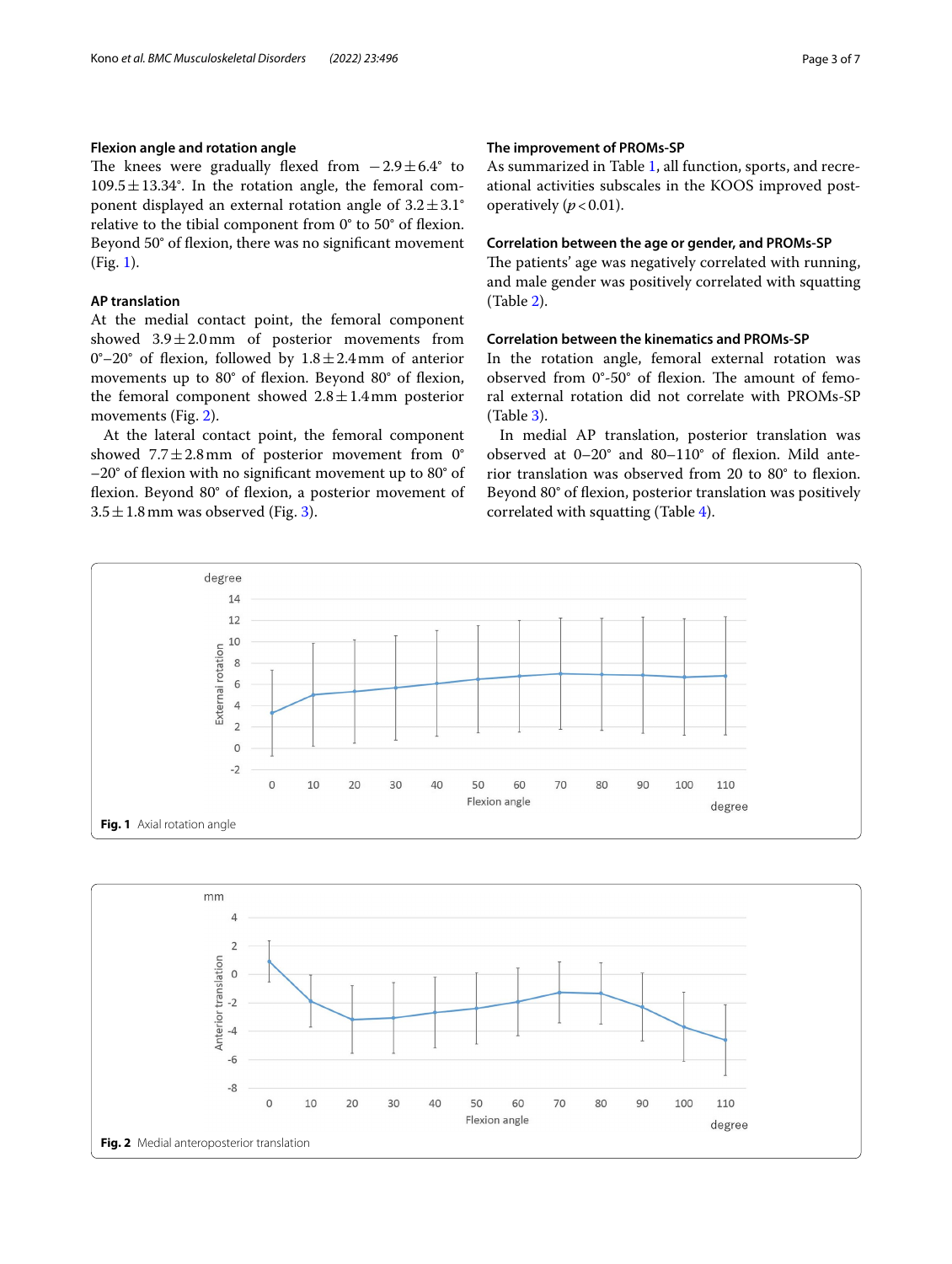## **Flexion angle and rotation angle**

The knees were gradually flexed from  $-2.9 \pm 6.4^{\circ}$  to  $109.5 \pm 13.34$ °. In the rotation angle, the femoral component displayed an external rotation angle of  $3.2 \pm 3.1^{\circ}$ relative to the tibial component from 0° to 50° of fexion. Beyond 50° of fexion, there was no signifcant movement (Fig. [1\)](#page-2-0).

## **AP translation**

At the medial contact point, the femoral component showed  $3.9 \pm 2.0$  mm of posterior movements from 0°–20° of flexion, followed by  $1.8 \pm 2.4$  mm of anterior movements up to 80° of fexion. Beyond 80° of fexion, the femoral component showed  $2.8 \pm 1.4$  mm posterior movements (Fig. [2\)](#page-2-1).

At the lateral contact point, the femoral component showed  $7.7 \pm 2.8$  mm of posterior movement from 0° –20° of fexion with no signifcant movement up to 80° of fexion. Beyond 80° of fexion, a posterior movement of  $3.5 \pm 1.8$  mm was observed (Fig. [3](#page-3-0)).

## **The improvement of PROMs‑SP**

As summarized in Table [1,](#page-3-1) all function, sports, and recreational activities subscales in the KOOS improved postoperatively  $(p < 0.01)$ .

#### **Correlation between the age or gender, and PROMs‑SP**

The patients' age was negatively correlated with running, and male gender was positively correlated with squatting (Table [2\)](#page-3-2).

## **Correlation between the kinematics and PROMs‑SP**

In the rotation angle, femoral external rotation was observed from  $0^\circ$ -50 $^\circ$  of flexion. The amount of femoral external rotation did not correlate with PROMs-SP (Table [3\)](#page-3-3).

In medial AP translation, posterior translation was observed at 0–20° and 80–110° of fexion. Mild anterior translation was observed from 20 to 80° to fexion. Beyond 80° of flexion, posterior translation was positively correlated with squatting (Table [4](#page-4-0)).



<span id="page-2-1"></span><span id="page-2-0"></span>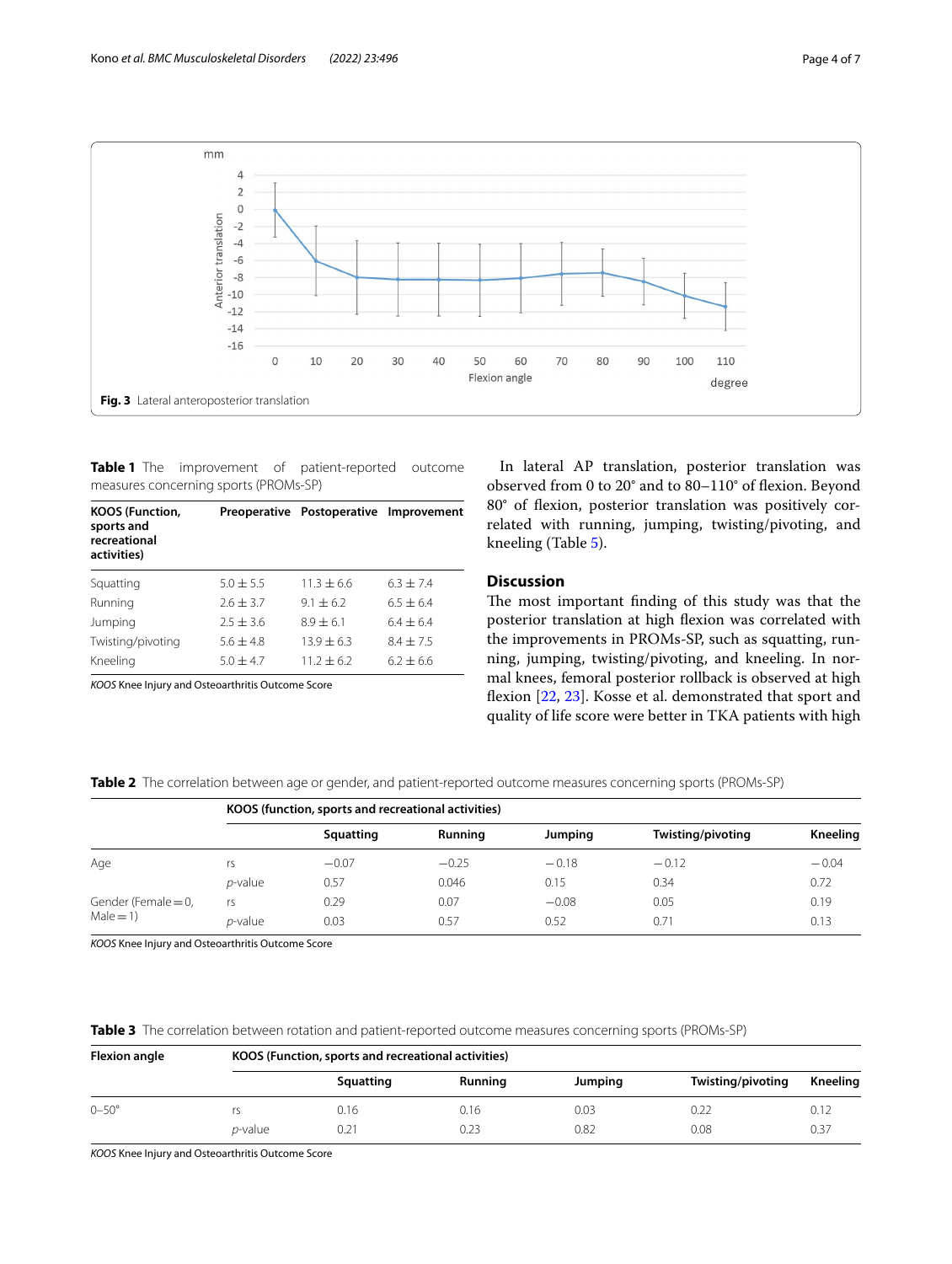

<span id="page-3-1"></span><span id="page-3-0"></span>**Table 1** The improvement of patient-reported outcome measures concerning sports (PROMs-SP)

| <b>KOOS (Function,</b><br>sports and<br>recreational<br>activities) |                      | Preoperative Postoperative Improvement |             |  |
|---------------------------------------------------------------------|----------------------|----------------------------------------|-------------|--|
| Squatting                                                           | $5.0 + 5.5$          | $11.3 + 6.6$                           | $6.3 + 7.4$ |  |
| Running                                                             | $2.6 + 3.7$          | $9.1 \pm 6.2$                          | $6.5 + 6.4$ |  |
| Jumping                                                             | $2.5 + 3.6$          | $8.9 + 6.1$                            | $6.4 + 6.4$ |  |
| Twisting/pivoting                                                   | $5.6 + 4.8$          | $13.9 + 6.3$                           | $8.4 + 7.5$ |  |
| Kneeling                                                            | $5.0 + 4.7$          | $11.2 \pm 6.2$                         | $6.2 + 6.6$ |  |
| $\cdot$ $\cdot$                                                     | $\sim$ $\sim$ $\sim$ |                                        |             |  |

*KOOS* Knee Injury and Osteoarthritis Outcome Score

In lateral AP translation, posterior translation was observed from 0 to 20° and to 80–110° of fexion. Beyond 80° of fexion, posterior translation was positively correlated with running, jumping, twisting/pivoting, and kneeling (Table [5\)](#page-4-1).

## **Discussion**

The most important finding of this study was that the posterior translation at high fexion was correlated with the improvements in PROMs-SP, such as squatting, running, jumping, twisting/pivoting, and kneeling. In normal knees, femoral posterior rollback is observed at high fexion [[22](#page-6-9), [23](#page-6-10)]. Kosse et al. demonstrated that sport and quality of life score were better in TKA patients with high

<span id="page-3-2"></span>**Table 2** The correlation between age or gender, and patient-reported outcome measures concerning sports (PROMs-SP)

|                                     | KOOS (function, sports and recreational activities) |           |         |         |                   |          |  |  |
|-------------------------------------|-----------------------------------------------------|-----------|---------|---------|-------------------|----------|--|--|
|                                     |                                                     | Squatting | Running | Jumping | Twisting/pivoting | Kneeling |  |  |
| Age                                 | r٢                                                  | $-0.07$   | $-0.25$ | $-0.18$ | $-0.12$           | $-0.04$  |  |  |
|                                     | <i>p</i> -value                                     | 0.57      | 0.046   | 0.15    | 0.34              | 0.72     |  |  |
| Gender (Female $=$ 0,<br>$Male = 1$ | rs                                                  | 0.29      | 0.07    | $-0.08$ | 0.05              | 0.19     |  |  |
|                                     | <i>p</i> -value                                     | 0.03      | 0.57    | 0.52    | 0.71              | 0.13     |  |  |

*KOOS* Knee Injury and Osteoarthritis Outcome Score

<span id="page-3-3"></span>**Table 3** The correlation between rotation and patient-reported outcome measures concerning sports (PROMs-SP)

| <b>Flexion angle</b> | KOOS (Function, sports and recreational activities) |           |         |         |                   |          |  |  |
|----------------------|-----------------------------------------------------|-----------|---------|---------|-------------------|----------|--|--|
|                      |                                                     | Squatting | Running | Jumping | Twisting/pivoting | Kneeling |  |  |
| $0 - 50^{\circ}$     | rs                                                  | 0.16      | 0.16    | 0.03    | 0.22              | 0.12     |  |  |
|                      | <i>p</i> -value                                     | 0.21      | 0.23    | 0.82    | 0.08              | 0.37     |  |  |

*KOOS* Knee Injury and Osteoarthritis Outcome Score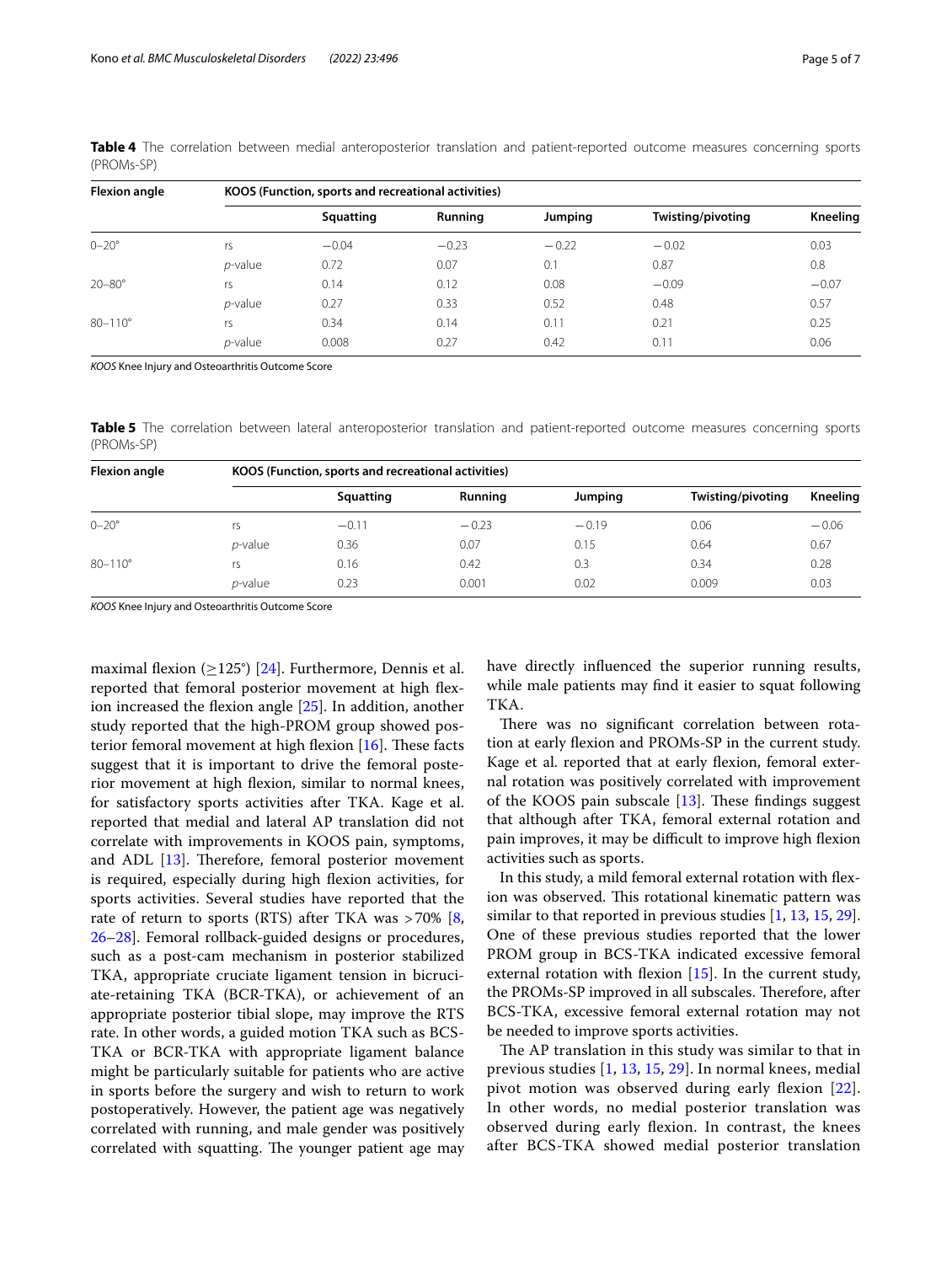| <b>Flexion angle</b> | KOOS (Function, sports and recreational activities) |           |         |         |                   |                 |  |  |
|----------------------|-----------------------------------------------------|-----------|---------|---------|-------------------|-----------------|--|--|
|                      |                                                     | Squatting | Running | Jumping | Twisting/pivoting | <b>Kneeling</b> |  |  |
| $0 - 20^{\circ}$     | rs                                                  | $-0.04$   | $-0.23$ | $-0.22$ | $-0.02$           | 0.03            |  |  |
|                      | $p$ -value                                          | 0.72      | 0.07    | 0.1     | 0.87              | 0.8             |  |  |
| $20 - 80^\circ$      | rs                                                  | 0.14      | 0.12    | 0.08    | $-0.09$           | $-0.07$         |  |  |
|                      | $p$ -value                                          | 0.27      | 0.33    | 0.52    | 0.48              | 0.57            |  |  |
| $80 - 110^{\circ}$   | rs                                                  | 0.34      | 0.14    | 0.11    | 0.21              | 0.25            |  |  |
|                      | <i>p</i> -value                                     | 0.008     | 0.27    | 0.42    | 0.11              | 0.06            |  |  |

<span id="page-4-0"></span>**Table 4** The correlation between medial anteroposterior translation and patient-reported outcome measures concerning sports (PROMs-SP)

*KOOS* Knee Injury and Osteoarthritis Outcome Score

<span id="page-4-1"></span>**Table 5** The correlation between lateral anteroposterior translation and patient-reported outcome measures concerning sports (PROMs-SP)

| <b>Flexion angle</b> | KOOS (Function, sports and recreational activities) |           |         |         |                   |          |  |  |
|----------------------|-----------------------------------------------------|-----------|---------|---------|-------------------|----------|--|--|
|                      |                                                     | Squatting | Running | Jumping | Twisting/pivoting | Kneeling |  |  |
| $0 - 20^{\circ}$     | rs                                                  | $-0.11$   | $-0.23$ | $-0.19$ | 0.06              | $-0.06$  |  |  |
|                      | <i>p</i> -value                                     | 0.36      | 0.07    | 0.15    | 0.64              | 0.67     |  |  |
| $80 - 110^{\circ}$   | rs                                                  | 0.16      | 0.42    | 0.3     | 0.34              | 0.28     |  |  |
|                      | <i>p</i> -value                                     | 0.23      | 0.001   | 0.02    | 0.009             | 0.03     |  |  |

*KOOS* Knee Injury and Osteoarthritis Outcome Score

maximal flexion ( $\geq$ 125°) [\[24\]](#page-6-11). Furthermore, Dennis et al. reported that femoral posterior movement at high fexion increased the fexion angle [\[25](#page-6-12)]. In addition, another study reported that the high-PROM group showed posterior femoral movement at high flexion  $[16]$  $[16]$ . These facts suggest that it is important to drive the femoral posterior movement at high fexion, similar to normal knees, for satisfactory sports activities after TKA. Kage et al. reported that medial and lateral AP translation did not correlate with improvements in KOOS pain, symptoms, and ADL  $[13]$  $[13]$ . Therefore, femoral posterior movement is required, especially during high fexion activities, for sports activities. Several studies have reported that the rate of return to sports (RTS) after TKA was >70% [\[8](#page-5-10), [26–](#page-6-13)[28](#page-6-14)]. Femoral rollback-guided designs or procedures, such as a post-cam mechanism in posterior stabilized TKA, appropriate cruciate ligament tension in bicruciate-retaining TKA (BCR-TKA), or achievement of an appropriate posterior tibial slope, may improve the RTS rate. In other words, a guided motion TKA such as BCS-TKA or BCR-TKA with appropriate ligament balance might be particularly suitable for patients who are active in sports before the surgery and wish to return to work postoperatively. However, the patient age was negatively correlated with running, and male gender was positively correlated with squatting. The younger patient age may have directly infuenced the superior running results, while male patients may fnd it easier to squat following TKA.

There was no significant correlation between rotation at early fexion and PROMs-SP in the current study. Kage et al. reported that at early flexion, femoral external rotation was positively correlated with improvement of the KOOS pain subscale  $[13]$  $[13]$ . These findings suggest that although after TKA, femoral external rotation and pain improves, it may be difficult to improve high flexion activities such as sports.

In this study, a mild femoral external rotation with fexion was observed. This rotational kinematic pattern was similar to that reported in previous studies  $[1, 13, 15, 29]$  $[1, 13, 15, 29]$  $[1, 13, 15, 29]$  $[1, 13, 15, 29]$  $[1, 13, 15, 29]$  $[1, 13, 15, 29]$  $[1, 13, 15, 29]$ . One of these previous studies reported that the lower PROM group in BCS-TKA indicated excessive femoral external rotation with flexion  $[15]$  $[15]$ . In the current study, the PROMs-SP improved in all subscales. Therefore, after BCS-TKA, excessive femoral external rotation may not be needed to improve sports activities.

The AP translation in this study was similar to that in previous studies [[1,](#page-5-0) [13,](#page-6-1) [15,](#page-6-2) [29\]](#page-6-15). In normal knees, medial pivot motion was observed during early flexion [[22](#page-6-9)]. In other words, no medial posterior translation was observed during early flexion. In contrast, the knees after BCS-TKA showed medial posterior translation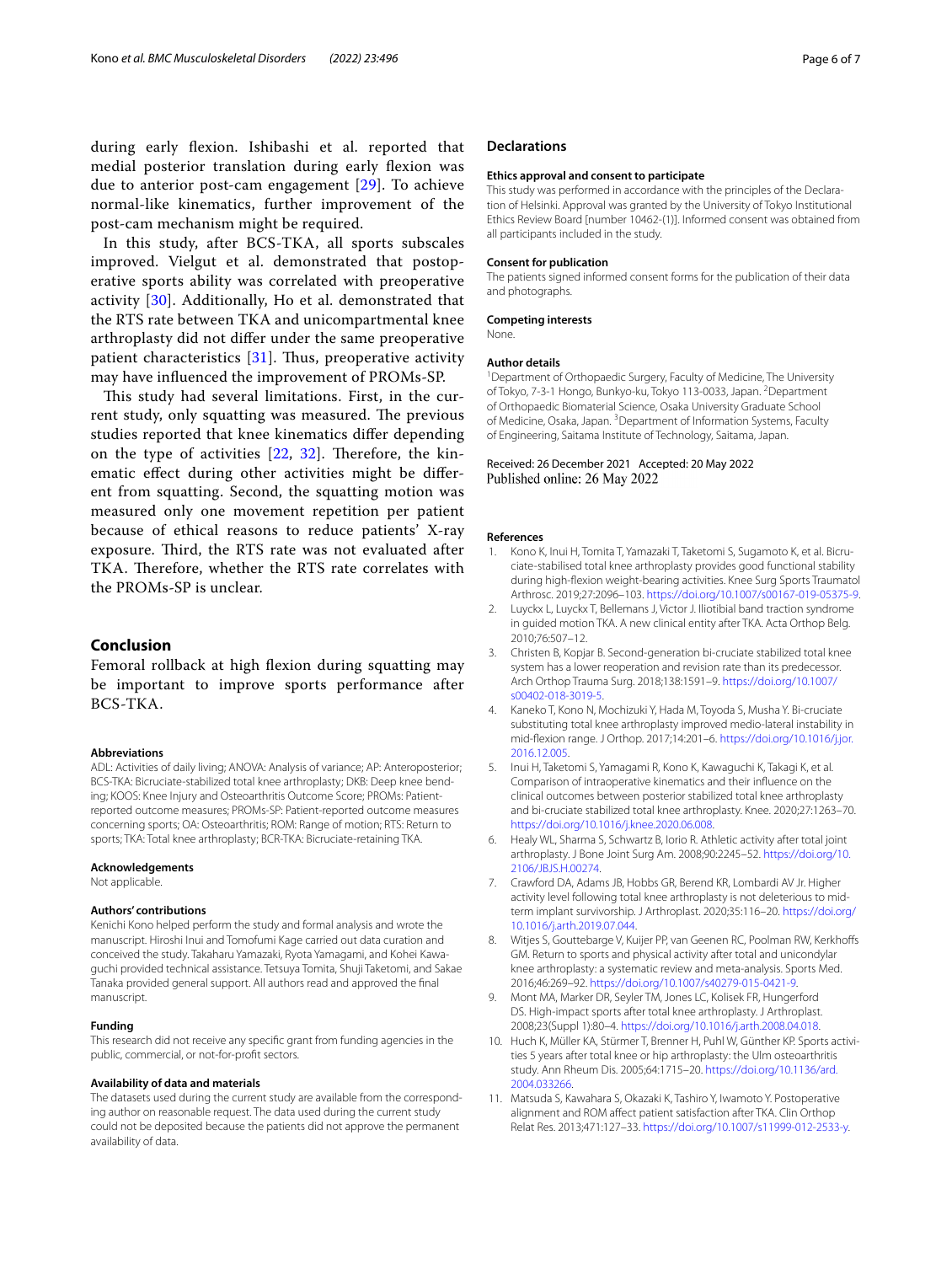In this study, after BCS-TKA, all sports subscales improved. Vielgut et al. demonstrated that postoperative sports ability was correlated with preoperative activity [\[30\]](#page-6-16). Additionally, Ho et al. demonstrated that the RTS rate between TKA and unicompartmental knee arthroplasty did not difer under the same preoperative patient characteristics  $[31]$  $[31]$ . Thus, preoperative activity may have infuenced the improvement of PROMs-SP.

This study had several limitations. First, in the current study, only squatting was measured. The previous studies reported that knee kinematics difer depending on the type of activities  $[22, 32]$  $[22, 32]$  $[22, 32]$  $[22, 32]$ . Therefore, the kinematic efect during other activities might be diferent from squatting. Second, the squatting motion was measured only one movement repetition per patient because of ethical reasons to reduce patients' X-ray exposure. Third, the RTS rate was not evaluated after TKA. Therefore, whether the RTS rate correlates with the PROMs-SP is unclear.

## **Conclusion**

Femoral rollback at high fexion during squatting may be important to improve sports performance after BCS-TKA.

#### **Abbreviations**

ADL: Activities of daily living; ANOVA: Analysis of variance; AP: Anteroposterior; BCS-TKA: Bicruciate-stabilized total knee arthroplasty; DKB: Deep knee bending; KOOS: Knee Injury and Osteoarthritis Outcome Score; PROMs: Patientreported outcome measures; PROMs-SP: Patient-reported outcome measures concerning sports; OA: Osteoarthritis; ROM: Range of motion; RTS: Return to sports; TKA: Total knee arthroplasty; BCR-TKA: Bicruciate-retaining TKA.

#### **Acknowledgements**

Not applicable.

#### **Authors' contributions**

Kenichi Kono helped perform the study and formal analysis and wrote the manuscript. Hiroshi Inui and Tomofumi Kage carried out data curation and conceived the study. Takaharu Yamazaki, Ryota Yamagami, and Kohei Kawaguchi provided technical assistance. Tetsuya Tomita, Shuji Taketomi, and Sakae Tanaka provided general support. All authors read and approved the fnal manuscript.

#### **Funding**

This research did not receive any specifc grant from funding agencies in the public, commercial, or not-for-proft sectors.

#### **Availability of data and materials**

The datasets used during the current study are available from the corresponding author on reasonable request. The data used during the current study could not be deposited because the patients did not approve the permanent availability of data.

#### **Declarations**

#### **Ethics approval and consent to participate**

This study was performed in accordance with the principles of the Declaration of Helsinki. Approval was granted by the University of Tokyo Institutional Ethics Review Board [number 10462-(1)]. Informed consent was obtained from all participants included in the study.

#### **Consent for publication**

The patients signed informed consent forms for the publication of their data and photographs.

## **Competing interests**

None.

#### **Author details**

<sup>1</sup> Department of Orthopaedic Surgery, Faculty of Medicine, The University of Tokyo, 7-3-1 Hongo, Bunkyo-ku, Tokyo 113-0033, Japan. <sup>2</sup>Department of Orthopaedic Biomaterial Science, Osaka University Graduate School of Medicine, Osaka, Japan. <sup>3</sup> Department of Information Systems, Faculty of Engineering, Saitama Institute of Technology, Saitama, Japan.

#### Received: 26 December 2021 Accepted: 20 May 2022 Published online: 26 May 2022

#### **References**

- <span id="page-5-0"></span>1. Kono K, Inui H, Tomita T, Yamazaki T, Taketomi S, Sugamoto K, et al. Bicruciate-stabilised total knee arthroplasty provides good functional stability during high-fexion weight-bearing activities. Knee Surg Sports Traumatol Arthrosc. 2019;27:2096–103. <https://doi.org/10.1007/s00167-019-05375-9>.
- <span id="page-5-1"></span>2. Luyckx L, Luyckx T, Bellemans J, Victor J. Iliotibial band traction syndrome in guided motion TKA. A new clinical entity after TKA. Acta Orthop Belg. 2010;76:507–12.
- <span id="page-5-2"></span>3. Christen B, Kopjar B. Second-generation bi-cruciate stabilized total knee system has a lower reoperation and revision rate than its predecessor. Arch Orthop Trauma Surg. 2018;138:1591–9. [https://doi.org/10.1007/](https://doi.org/10.1007/s00402-018-3019-5) [s00402-018-3019-5.](https://doi.org/10.1007/s00402-018-3019-5)
- <span id="page-5-3"></span>4. Kaneko T, Kono N, Mochizuki Y, Hada M, Toyoda S, Musha Y. Bi-cruciate substituting total knee arthroplasty improved medio-lateral instability in mid-fexion range. J Orthop. 2017;14:201–6. [https://doi.org/10.1016/j.jor.](https://doi.org/10.1016/j.jor.2016.12.005) [2016.12.005](https://doi.org/10.1016/j.jor.2016.12.005).
- <span id="page-5-4"></span>5. Inui H, Taketomi S, Yamagami R, Kono K, Kawaguchi K, Takagi K, et al. Comparison of intraoperative kinematics and their infuence on the clinical outcomes between posterior stabilized total knee arthroplasty and bi-cruciate stabilized total knee arthroplasty. Knee. 2020;27:1263–70. [https://doi.org/10.1016/j.knee.2020.06.008.](https://doi.org/10.1016/j.knee.2020.06.008)
- <span id="page-5-5"></span>6. Healy WL, Sharma S, Schwartz B, Iorio R. Athletic activity after total joint arthroplasty. J Bone Joint Surg Am. 2008;90:2245–52. [https://doi.org/10.](https://doi.org/10.2106/JBJS.H.00274) [2106/JBJS.H.00274](https://doi.org/10.2106/JBJS.H.00274).
- <span id="page-5-6"></span>7. Crawford DA, Adams JB, Hobbs GR, Berend KR, Lombardi AV Jr. Higher activity level following total knee arthroplasty is not deleterious to midterm implant survivorship. J Arthroplast. 2020;35:116–20. [https://doi.org/](https://doi.org/10.1016/j.arth.2019.07.044) [10.1016/j.arth.2019.07.044](https://doi.org/10.1016/j.arth.2019.07.044).
- <span id="page-5-10"></span>8. Witjes S, Gouttebarge V, Kuijer PP, van Geenen RC, Poolman RW, Kerkhoffs GM. Return to sports and physical activity after total and unicondylar knee arthroplasty: a systematic review and meta-analysis. Sports Med. 2016;46:269–92.<https://doi.org/10.1007/s40279-015-0421-9>.
- <span id="page-5-7"></span>9. Mont MA, Marker DR, Seyler TM, Jones LC, Kolisek FR, Hungerford DS. High-impact sports after total knee arthroplasty. J Arthroplast. 2008;23(Suppl 1):80–4. <https://doi.org/10.1016/j.arth.2008.04.018>.
- <span id="page-5-8"></span>10. Huch K, Müller KA, Stürmer T, Brenner H, Puhl W, Günther KP. Sports activities 5 years after total knee or hip arthroplasty: the Ulm osteoarthritis study. Ann Rheum Dis. 2005;64:1715–20. [https://doi.org/10.1136/ard.](https://doi.org/10.1136/ard.2004.033266) [2004.033266.](https://doi.org/10.1136/ard.2004.033266)
- <span id="page-5-9"></span>11. Matsuda S, Kawahara S, Okazaki K, Tashiro Y, Iwamoto Y. Postoperative alignment and ROM afect patient satisfaction after TKA. Clin Orthop Relat Res. 2013;471:127–33. [https://doi.org/10.1007/s11999-012-2533-y.](https://doi.org/10.1007/s11999-012-2533-y)